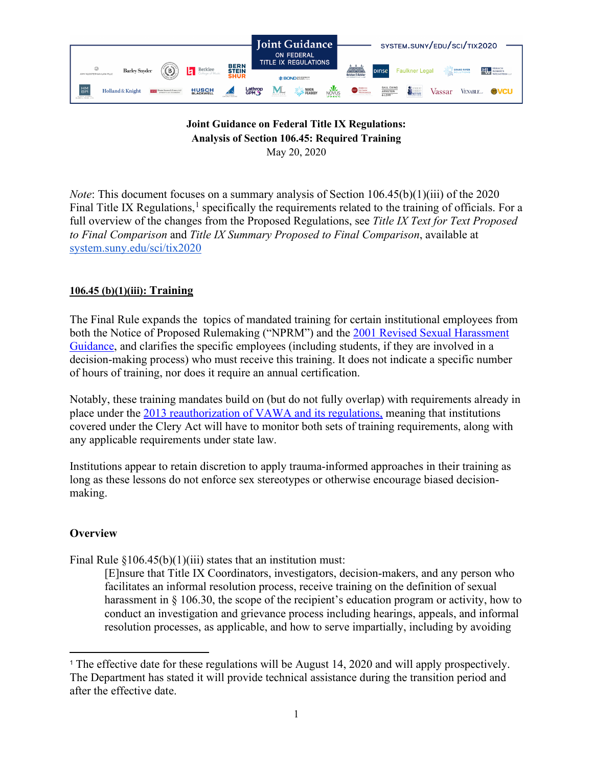

### **Joint Guidance on Federal Title IX Regulations: Analysis of Section 106.45: Required Training** May 20, 2020

*Note*: This document focuses on a summary analysis of Section 106.45(b)(1)(iii) of the 2020 Final Title IX Regulations,<sup>[1](#page-0-0)</sup> specifically the requirements related to the training of officials. For a full overview of the changes from the Proposed Regulations, see *Title IX Text for Text Proposed to Final Comparison* and *Title IX Summary Proposed to Final Comparison*, available at [system.suny.edu/sci/tix2020](https://system.suny.edu/sci/tix2020/)

# **106.45 (b)(1)(iii): Training**

The Final Rule expands the topics of mandated training for certain institutional employees from both the Notice of Proposed Rulemaking ("NPRM") and the [2001 Revised Sexual Harassment](https://www2.ed.gov/about/offices/list/ocr/docs/shguide.html)  [Guidance,](https://www2.ed.gov/about/offices/list/ocr/docs/shguide.html) and clarifies the specific employees (including students, if they are involved in a decision-making process) who must receive this training. It does not indicate a specific number of hours of training, nor does it require an annual certification.

Notably, these training mandates build on (but do not fully overlap) with requirements already in place under the [2013 reauthorization of VAWA and its regulations,](https://www.federalregister.gov/documents/2014/10/20/2014-24284/violence-against-women-act) meaning that institutions covered under the Clery Act will have to monitor both sets of training requirements, along with any applicable requirements under state law.

Institutions appear to retain discretion to apply trauma-informed approaches in their training as long as these lessons do not enforce sex stereotypes or otherwise encourage biased decisionmaking.

## **Overview**

Final Rule  $$106.45(b)(1)(iii)$  states that an institution must:

[E]nsure that Title IX Coordinators, investigators, decision-makers, and any person who facilitates an informal resolution process, receive training on the definition of sexual harassment in § 106.30, the scope of the recipient's education program or activity, how to conduct an investigation and grievance process including hearings, appeals, and informal resolution processes, as applicable, and how to serve impartially, including by avoiding

<span id="page-0-0"></span><sup>1</sup> The effective date for these regulations will be August 14, 2020 and will apply prospectively. The Department has stated it will provide technical assistance during the transition period and after the effective date.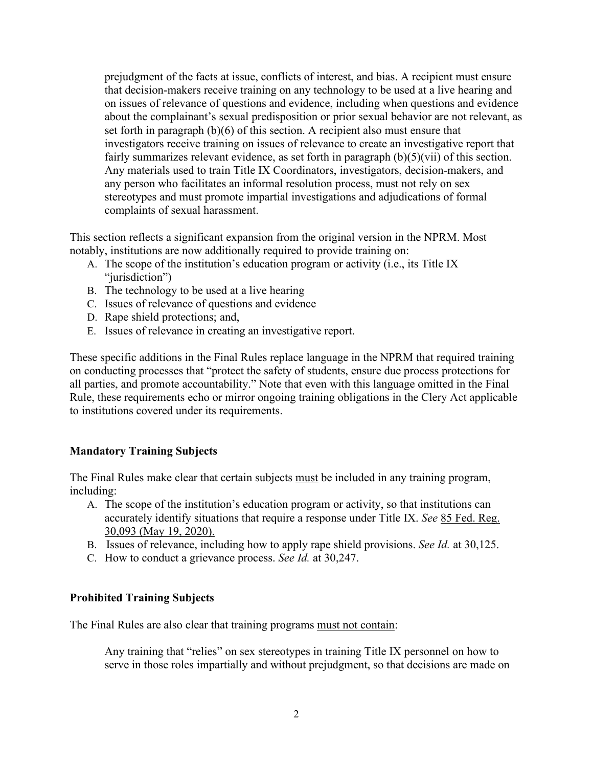prejudgment of the facts at issue, conflicts of interest, and bias. A recipient must ensure that decision-makers receive training on any technology to be used at a live hearing and on issues of relevance of questions and evidence, including when questions and evidence about the complainant's sexual predisposition or prior sexual behavior are not relevant, as set forth in paragraph (b)(6) of this section. A recipient also must ensure that investigators receive training on issues of relevance to create an investigative report that fairly summarizes relevant evidence, as set forth in paragraph  $(b)(5)(\n\tiii)$  of this section. Any materials used to train Title IX Coordinators, investigators, decision-makers, and any person who facilitates an informal resolution process, must not rely on sex stereotypes and must promote impartial investigations and adjudications of formal complaints of sexual harassment.

This section reflects a significant expansion from the original version in the NPRM. Most notably, institutions are now additionally required to provide training on:

- A. The scope of the institution's education program or activity (i.e., its Title IX "jurisdiction")
- B. The technology to be used at a live hearing
- C. Issues of relevance of questions and evidence
- D. Rape shield protections; and,
- E. Issues of relevance in creating an investigative report.

These specific additions in the Final Rules replace language in the NPRM that required training on conducting processes that "protect the safety of students, ensure due process protections for all parties, and promote accountability." Note that even with this language omitted in the Final Rule, these requirements echo or mirror ongoing training obligations in the Clery Act applicable to institutions covered under its requirements.

#### **Mandatory Training Subjects**

The Final Rules make clear that certain subjects must be included in any training program, including:

- A. The scope of the institution's education program or activity, so that institutions can accurately identify situations that require a response under Title IX. *See* 85 Fed. Reg. 30,093 (May 19, 2020).
- B. Issues of relevance, including how to apply rape shield provisions. *See Id.* at 30,125.
- C. How to conduct a grievance process. *See Id.* at 30,247.

#### **Prohibited Training Subjects**

The Final Rules are also clear that training programs must not contain:

Any training that "relies" on sex stereotypes in training Title IX personnel on how to serve in those roles impartially and without prejudgment, so that decisions are made on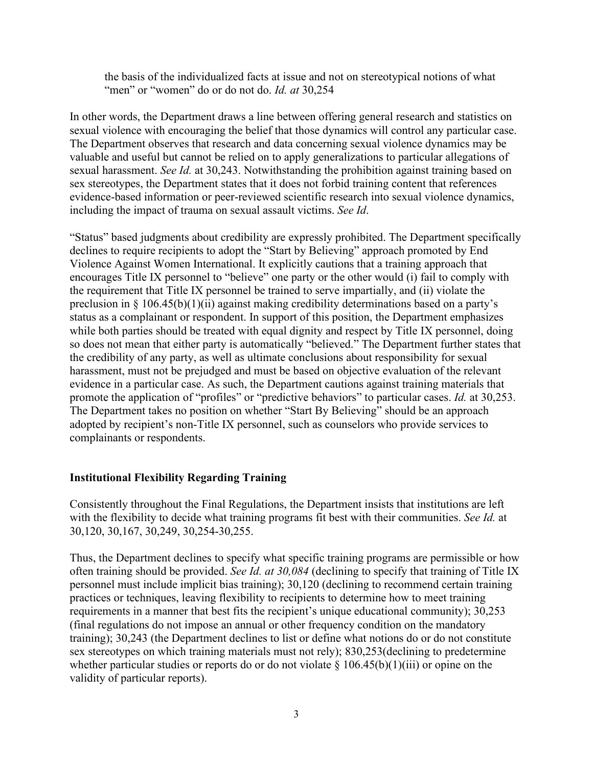the basis of the individualized facts at issue and not on stereotypical notions of what "men" or "women" do or do not do. *Id. at* 30,254

In other words, the Department draws a line between offering general research and statistics on sexual violence with encouraging the belief that those dynamics will control any particular case. The Department observes that research and data concerning sexual violence dynamics may be valuable and useful but cannot be relied on to apply generalizations to particular allegations of sexual harassment. *See Id.* at 30,243. Notwithstanding the prohibition against training based on sex stereotypes, the Department states that it does not forbid training content that references evidence-based information or peer-reviewed scientific research into sexual violence dynamics, including the impact of trauma on sexual assault victims. *See Id*.

"Status" based judgments about credibility are expressly prohibited. The Department specifically declines to require recipients to adopt the "Start by Believing" approach promoted by End Violence Against Women International. It explicitly cautions that a training approach that encourages Title IX personnel to "believe" one party or the other would (i) fail to comply with the requirement that Title IX personnel be trained to serve impartially, and (ii) violate the preclusion in § 106.45(b)(1)(ii) against making credibility determinations based on a party's status as a complainant or respondent. In support of this position, the Department emphasizes while both parties should be treated with equal dignity and respect by Title IX personnel, doing so does not mean that either party is automatically "believed." The Department further states that the credibility of any party, as well as ultimate conclusions about responsibility for sexual harassment, must not be prejudged and must be based on objective evaluation of the relevant evidence in a particular case. As such, the Department cautions against training materials that promote the application of "profiles" or "predictive behaviors" to particular cases. *Id.* at 30,253. The Department takes no position on whether "Start By Believing" should be an approach adopted by recipient's non-Title IX personnel, such as counselors who provide services to complainants or respondents.

#### **Institutional Flexibility Regarding Training**

Consistently throughout the Final Regulations, the Department insists that institutions are left with the flexibility to decide what training programs fit best with their communities. *See Id.* at 30,120, 30,167, 30,249, 30,254-30,255.

Thus, the Department declines to specify what specific training programs are permissible or how often training should be provided. *See Id. at 30,084* (declining to specify that training of Title IX personnel must include implicit bias training); 30,120 (declining to recommend certain training practices or techniques, leaving flexibility to recipients to determine how to meet training requirements in a manner that best fits the recipient's unique educational community); 30,253 (final regulations do not impose an annual or other frequency condition on the mandatory training); 30,243 (the Department declines to list or define what notions do or do not constitute sex stereotypes on which training materials must not rely); 830,253(declining to predetermine whether particular studies or reports do or do not violate  $\S 106.45(b)(1)(iii)$  or opine on the validity of particular reports).